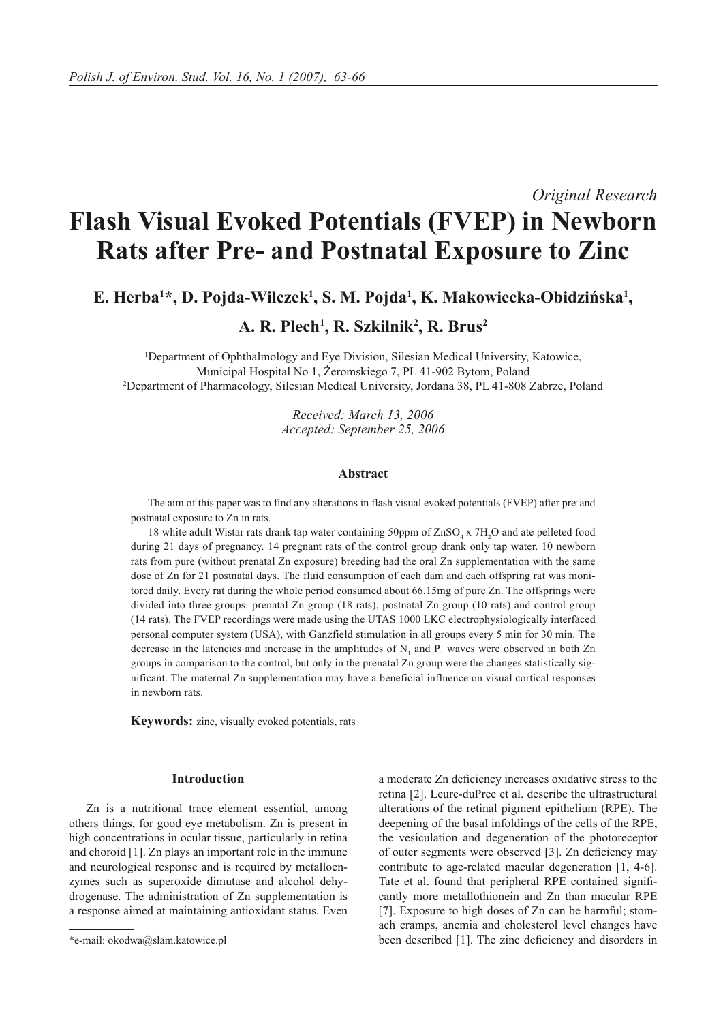*Original Research*

# **Flash Visual Evoked Potentials (FVEP) in Newborn Rats after Pre- and Postnatal Exposure to Zinc**

**E. Herba1 \*, D. Pojda-Wilczek<sup>1</sup> , S. M. Pojda<sup>1</sup> , K. Makowiecka-Obidzińska<sup>1</sup> ,** 

**A. R. Plech1 , R. Szkilnik<sup>2</sup> , R. Brus2**

1 Department of Ophthalmology and Eye Division, Silesian Medical University, Katowice, Municipal Hospital No 1, Żeromskiego 7, PL 41-902 Bytom, Poland 2 Department of Pharmacology, Silesian Medical University, Jordana 38, PL 41-808 Zabrze, Poland

> *Received: March 13, 2006 Accepted: September 25, 2006*

# **Abstract**

The aim of this paper was to find any alterations in flash visual evoked potentials (FVEP) after pre- and postnatal exposure to Zn in rats.

18 white adult Wistar rats drank tap water containing 50ppm of  $ZnSO_4$  x  $7H_2O$  and ate pelleted food during 21 days of pregnancy. 14 pregnant rats of the control group drank only tap water. 10 newborn rats from pure (without prenatal Zn exposure) breeding had the oral Zn supplementation with the same dose of Zn for 21 postnatal days. The fluid consumption of each dam and each offspring rat was monitored daily. Every rat during the whole period consumed about 66.15mg of pure Zn. The offsprings were divided into three groups: prenatal Zn group (18 rats), postnatal Zn group (10 rats) and control group (14 rats). The FVEP recordings were made using the UTAS 1000 LKC electrophysiologically interfaced personal computer system (USA), with Ganzfield stimulation in all groups every 5 min for 30 min. The decrease in the latencies and increase in the amplitudes of  $N_1$  and  $P_1$  waves were observed in both Zn groups in comparison to the control, but only in the prenatal Zn group were the changes statistically significant. The maternal Zn supplementation may have a beneficial influence on visual cortical responses in newborn rats.

**Keywords:** zinc, visually evoked potentials, rats

# **Introduction**

Zn is a nutritional trace element essential, among others things, for good eye metabolism. Zn is present in high concentrations in ocular tissue, particularly in retina and choroid [1]. Zn plays an important role in the immune and neurological response and is required by metalloenzymes such as superoxide dimutase and alcohol dehydrogenase. The administration of Zn supplementation is a response aimed at maintaining antioxidant status. Even a moderate Zn deficiency increases oxidative stress to the retina [2]. Leure-duPree et al. describe the ultrastructural alterations of the retinal pigment epithelium (RPE). The deepening of the basal infoldings of the cells of the RPE, the vesiculation and degeneration of the photoreceptor of outer segments were observed [3]. Zn deficiency may contribute to age-related macular degeneration [1, 4-6]. Tate et al. found that peripheral RPE contained significantly more metallothionein and Zn than macular RPE [7]. Exposure to high doses of Zn can be harmful; stomach cramps, anemia and cholesterol level changes have been described [1]. The zinc deficiency and disorders in

<sup>\*</sup>e-mail: okodwa@slam.katowice.pl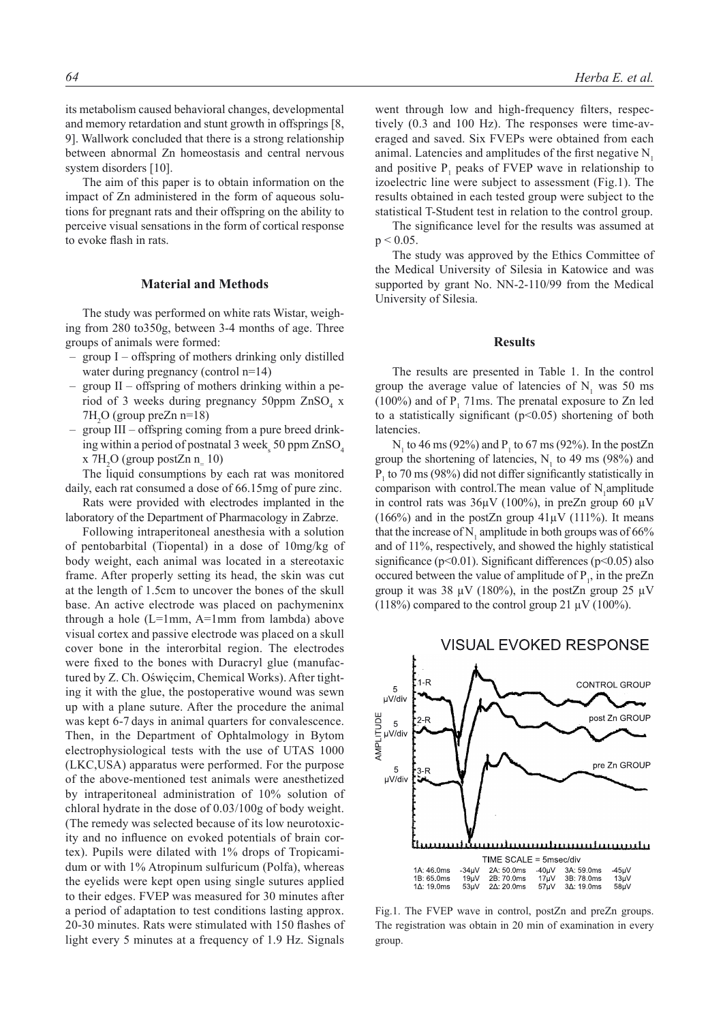its metabolism caused behavioral changes, developmental and memory retardation and stunt growth in offsprings [8, 9]. Wallwork concluded that there is a strong relationship between abnormal Zn homeostasis and central nervous system disorders [10].

The aim of this paper is to obtain information on the impact of Zn administered in the form of aqueous solutions for pregnant rats and their offspring on the ability to perceive visual sensations in the form of cortical response to evoke flash in rats.

## **Material and Methods**

The study was performed on white rats Wistar, weighing from 280 to350g, between 3-4 months of age. Three groups of animals were formed:

- group I offspring of mothers drinking only distilled water during pregnancy (control n=14)
- group II offspring of mothers drinking within a period of 3 weeks during pregnancy 50ppm  $\text{ZnSO}_4$  x  $7H<sub>2</sub>O$  (group preZn n=18)
- group III offspring coming from a pure breed drinking within a period of postnatal 3 week, 50 ppm  $ZnSO_4$  $x$  7H<sub>2</sub>O (group postZn n<sub>=</sub> 10)

The liquid consumptions by each rat was monitored daily, each rat consumed a dose of 66.15mg of pure zinc.

Rats were provided with electrodes implanted in the laboratory of the Department of Pharmacology in Zabrze.

Following intraperitoneal anesthesia with a solution of pentobarbital (Tiopental) in a dose of 10mg/kg of body weight, each animal was located in a stereotaxic frame. After properly setting its head, the skin was cut at the length of 1.5cm to uncover the bones of the skull base. An active electrode was placed on pachymeninx through a hole (L=1mm, A=1mm from lambda) above visual cortex and passive electrode was placed on a skull cover bone in the interorbital region. The electrodes were fixed to the bones with Duracryl glue (manufactured by Z. Ch. Oświęcim, Chemical Works). After tighting it with the glue, the postoperative wound was sewn up with a plane suture. After the procedure the animal was kept 6-7 days in animal quarters for convalescence. Then, in the Department of Ophtalmology in Bytom electrophysiological tests with the use of UTAS 1000 (LKC,USA) apparatus were performed. For the purpose of the above‑mentioned test animals were anesthetized by intraperitoneal administration of 10% solution of chloral hydrate in the dose of 0.03/100g of body weight. (The remedy was selected because of its low neurotoxicity and no influence on evoked potentials of brain cortex). Pupils were dilated with 1% drops of Tropicamidum or with 1% Atropinum sulfuricum (Polfa), whereas the eyelids were kept open using single sutures applied to their edges. FVEP was measured for 30 minutes after a period of adaptation to test conditions lasting approx. 20-30 minutes. Rats were stimulated with 150 flashes of light every 5 minutes at a frequency of 1.9 Hz. Signals went through low and high-frequency filters, respectively (0.3 and 100 Hz). The responses were time-averaged and saved. Six FVEPs were obtained from each animal. Latencies and amplitudes of the first negative  $N<sub>1</sub>$ and positive  $P_1$  peaks of FVEP wave in relationship to izoelectric line were subject to assessment (Fig.1). The results obtained in each tested group were subject to the statistical T-Student test in relation to the control group.

The significance level for the results was assumed at  $p < 0.05$ .

The study was approved by the Ethics Committee of the Medical University of Silesia in Katowice and was supported by grant No. NN-2-110/99 from the Medical University of Silesia.

#### **Results**

The results are presented in Table 1. In the control group the average value of latencies of  $N_1$  was 50 ms  $(100\%)$  and of  $P_1$  71ms. The prenatal exposure to Zn led to a statistically significant (p<0.05) shortening of both latencies.

 $N_1$  to 46 ms (92%) and  $P_1$  to 67 ms (92%). In the postZn group the shortening of latencies,  $N_1$  to 49 ms (98%) and  $P_1$  to 70 ms (98%) did not differ significantly statistically in comparison with control. The mean value of  $N_1$  amplitude in control rats was  $36\mu$ V (100%), in preZn group 60  $\mu$ V (166%) and in the postZn group  $41\mu$ V (111%). It means that the increase of  $N_1$  amplitude in both groups was of 66% and of 11%, respectively, and showed the highly statistical significance ( $p<0.01$ ). Significant differences ( $p<0.05$ ) also occured between the value of amplitude of  $P_1$ , in the preZn group it was 38  $\mu$ V (180%), in the postZn group 25  $\mu$ V (118%) compared to the control group 21  $\mu$ V (100%).



Fig.1. The FVEP wave in control, postZn and preZn groups. The registration was obtain in 20 min of examination in every group.

# **VISUAL EVOKED RESPONSE**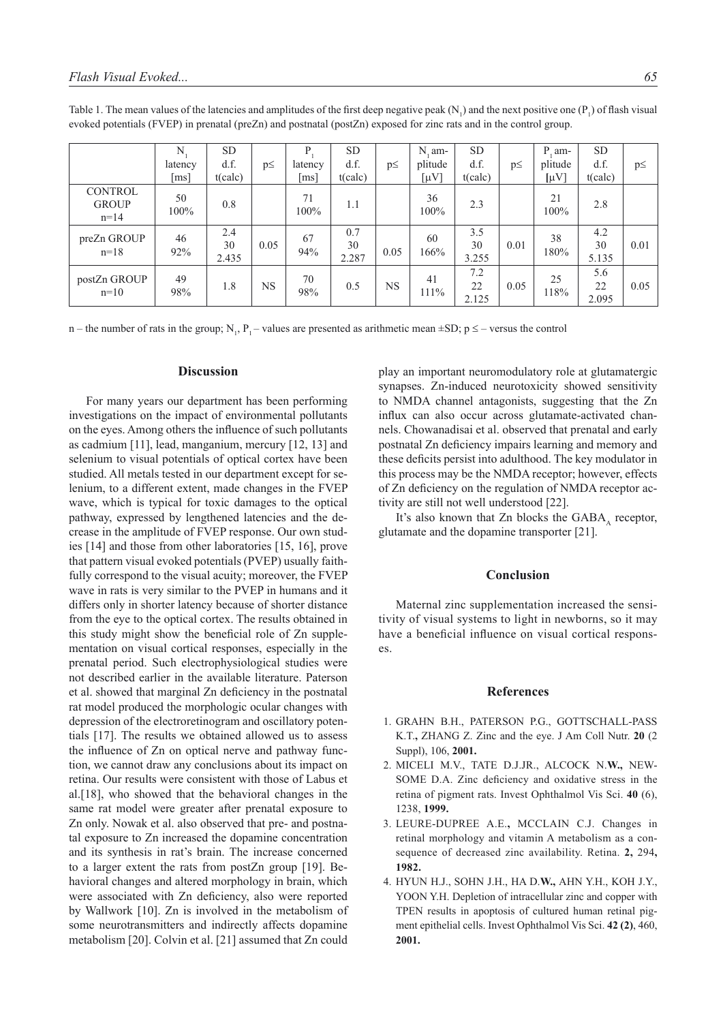|                                          | N<br>latency<br>$\lceil ms \rceil$ | <b>SD</b><br>d.f.<br>t(calc) | $p \leq$  | Ρ.<br>latency<br>[ms] | <b>SD</b><br>d.f.<br>t(calc) | $p\leq$   | $N_1$ am-<br>plitude<br>$[\mu V]$ | <b>SD</b><br>d.f.<br>t(calc) | $p\leq$ | $P$ , am-<br>plitude<br>$[\mu V]$ | <b>SD</b><br>d.f.<br>t(calc) | $p\leq$ |
|------------------------------------------|------------------------------------|------------------------------|-----------|-----------------------|------------------------------|-----------|-----------------------------------|------------------------------|---------|-----------------------------------|------------------------------|---------|
| <b>CONTROL</b><br><b>GROUP</b><br>$n=14$ | 50<br>100%                         | 0.8                          |           | 71<br>100%            | 1.1                          |           | 36<br>100%                        | 2.3                          |         | 21<br>100%                        | 2.8                          |         |
| preZn GROUP<br>$n=18$                    | 46<br>92%                          | 2.4<br>30<br>2.435           | 0.05      | 67<br>94%             | 0.7<br>30<br>2.287           | 0.05      | 60<br>166%                        | 3.5<br>30<br>3.255           | 0.01    | 38<br>180%                        | 4.2<br>30<br>5.135           | 0.01    |
| postZn GROUP<br>$n=10$                   | 49<br>98%                          | 1.8                          | <b>NS</b> | 70<br>98%             | 0.5                          | <b>NS</b> | 41<br>111%                        | 7.2<br>22<br>2.125           | 0.05    | 25<br>118%                        | 5.6<br>22<br>2.095           | 0.05    |

Table 1. The mean values of the latencies and amplitudes of the first deep negative peak  $(N_1)$  and the next positive one  $(P_1)$  of flash visual evoked potentials (FVEP) in prenatal (preZn) and postnatal (postZn) exposed for zinc rats and in the control group.

n – the number of rats in the group;  $N_1$ ,  $P_1$  – values are presented as arithmetic mean  $\pm SD$ ;  $p \le -$  versus the control

### **Discussion**

For many years our department has been performing investigations on the impact of environmental pollutants on the eyes. Among others the influence of such pollutants as cadmium [11], lead, manganium, mercury [12, 13] and selenium to visual potentials of optical cortex have been studied. All metals tested in our department except for selenium, to a different extent, made changes in the FVEP wave, which is typical for toxic damages to the optical pathway, expressed by lengthened latencies and the decrease in the amplitude of FVEP response. Our own studies [14] and those from other laboratories [15, 16], prove that pattern visual evoked potentials (PVEP) usually faithfully correspond to the visual acuity; moreover, the FVEP wave in rats is very similar to the PVEP in humans and it differs only in shorter latency because of shorter distance from the eye to the optical cortex. The results obtained in this study might show the beneficial role of Zn supplementation on visual cortical responses, especially in the prenatal period. Such electrophysiological studies were not described earlier in the available literature. Paterson et al. showed that marginal Zn deficiency in the postnatal rat model produced the morphologic ocular changes with depression of the electroretinogram and oscillatory potentials [17]. The results we obtained allowed us to assess the influence of Zn on optical nerve and pathway function, we cannot draw any conclusions about its impact on retina. Our results were consistent with those of Labus et al.[18], who showed that the behavioral changes in the same rat model were greater after prenatal exposure to Zn only. Nowak et al. also observed that pre- and postnatal exposure to Zn increased the dopamine concentration and its synthesis in rat's brain. The increase concerned to a larger extent the rats from postZn group [19]. Behavioral changes and altered morphology in brain, which were associated with Zn deficiency, also were reported by Wallwork [10]. Zn is involved in the metabolism of some neurotransmitters and indirectly affects dopamine metabolism [20]. Colvin et al. [21] assumed that Zn could

play an important neuromodulatory role at glutamatergic synapses. Zn-induced neurotoxicity showed sensitivity to NMDA channel antagonists, suggesting that the Zn influx can also occur across glutamate-activated channels. Chowanadisai et al. observed that prenatal and early postnatal Zn deficiency impairs learning and memory and these deficits persist into adulthood. The key modulator in this process may be the NMDA receptor; however, effects of Zn deficiency on the regulation of NMDA receptor activity are still not well understood [22].

It's also known that Zn blocks the  $GABA_A$  receptor, glutamate and the dopamine transporter [21].

#### **Conclusion**

Maternal zinc supplementation increased the sensitivity of visual systems to light in newborns, so it may have a beneficial influence on visual cortical responses.

#### **References**

- 1. GRAHN B.H., PATERSON P.G., GOTTSCHALL-PASS K.T.**,** ZHANG Z. Zinc and the eye. J Am Coll Nutr. **20** (2 Suppl), 106, **2001.**
- 2. MICELI M.V., TATE D.J.JR., ALCOCK N.**W.,** NEW-SOME D.A. Zinc deficiency and oxidative stress in the retina of pigment rats. Invest Ophthalmol Vis Sci. **40** (6), 1238, **1999.**
- 3. LEURE-DUPREE A.E.**,** MCCLAIN C.J. Changes in retinal morphology and vitamin A metabolism as a consequence of decreased zinc availability. Retina. **2,** 294**, 1982.**
- 4. HYUN H.J., SOHN J.H., HA D.**W.,** AHN Y.H., KOH J.Y., YOON Y.H. Depletion of intracellular zinc and copper with TPEN results in apoptosis of cultured human retinal pigment epithelial cells. Invest Ophthalmol Vis Sci. **42 (2)**, 460, **2001.**